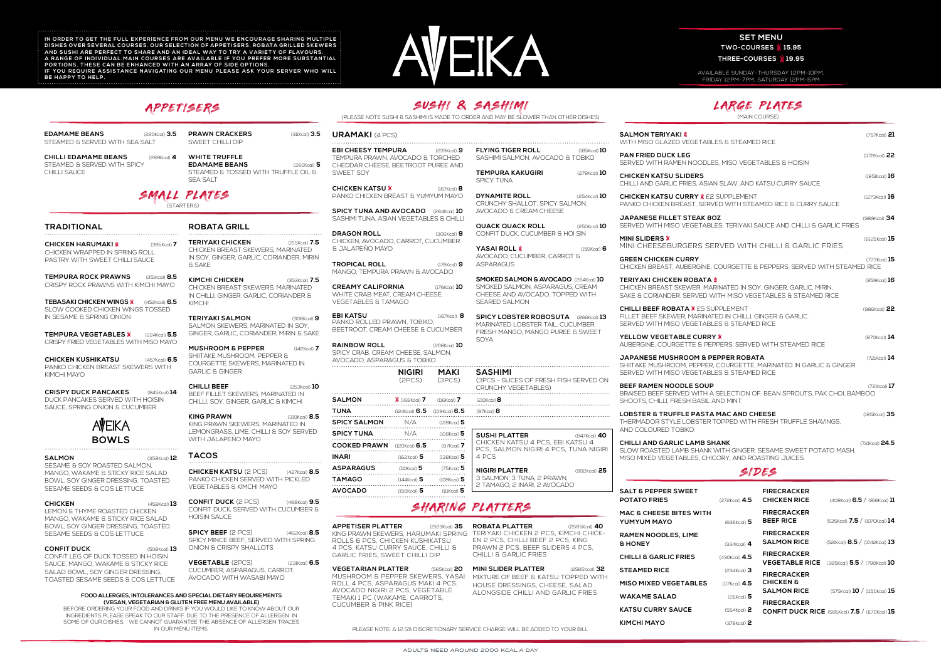**KATSU CURRY SAUCE** (554Kcal) **2 KIMCHI MAYO** (378Kcal) **2 CONFIT DUCK RICE** (585Kcal) **7.5** / (1170Kcal) **15**

**PRAWN CRACKERS** (311Kcal) **3.5** SWEET CHILLI DIP

**SALMON** (358Kcal) **<sup>12</sup> TACOS** SESAME & SOY ROASTED SALMON, MANGO, WAKAME & STICKY RICE SALAD BOWL, SOY GINGER DRESSING, TOASTED SESAME SEEDS & COS LETTUCE

**CHICKEN** (458Kcal) **13** LEMON & THYME ROASTED CHICKEN MANGO, WAKAME & STICKY RICE SALAD BOWL, SOY GINGER DRESSING, TOASTED SESAME SEEDS & COS LETTUCE

**CONFIT DUCK** (508Kcal) **13** CONFIT LEG OF DUCK TOSSED IN HOISIN SAUCE, MANGO, WAKAME & STICKY RICE SALAD BOWL, SOY GINGER DRESSING, TOASTED SESAME SEEDS & COS LETTUCE

**EDAMAME BEANS** (220Kcal) **3.5** STEAMED & SERVED WITH SEA SALT

**CHILLI EDAMAME BEANS** (289Kcal) **4** STEAMED & SERVED WITH SPICY

**WHITE TRUFFLE EDAMAME BEANS** (260Kcal) **5** STEAMED & TOSSED WITH TRUFFLE OIL & SEA SALT

**TEMPURA KAKUGIRI** (278Kcal) **10** SPICY TUNA

**DYNAMITE ROLL** (254Kcal) **10** CRUNCHY SHALLOT, SPICY SALMON, AVOCADO & CREAM CHEESE

**SPICY LOBSTER ROBOSUTA** (266Kcal) **13** MARINATED LOBSTER TAIL, CUCUMBER, FRESH MANGO, MANGO PUREE & SWEET **SOYA** 

| <b>SALMON TERIYAKI W</b><br>WITH MISO GLAZED VEGETABLES & STEAMED RICE                                                                                                                    |                 |                                             | $(757Kcal)$ 21                    |  |
|-------------------------------------------------------------------------------------------------------------------------------------------------------------------------------------------|-----------------|---------------------------------------------|-----------------------------------|--|
| <b>PAN FRIED DUCK LEG</b><br>SERVED WITH RAMEN NOODLES, MISO VEGETABLES & HOISIN                                                                                                          |                 |                                             | $(1172Kcal)$ 22                   |  |
| <b>CHICKEN KATSU SLIDERS</b><br>CHILLI AND GARLIC FRIES, ASIAN SLAW, AND KATSU CURRY SAUCE.                                                                                               |                 |                                             |                                   |  |
| <b>CHICKEN KATSU CURRY <i>W</i></b> £2 SUPPLEMENT<br>PANKO CHICKEN BREAST, SERVED WITH STEAMED RICE & CURRY SAUCE                                                                         |                 |                                             |                                   |  |
| <b>JAPANESE FILLET STEAK 80Z</b><br>SERVED WITH MISO VEGETABLES, TERIYAKI SAUCE AND CHILLI & GARLIC FRIES                                                                                 |                 |                                             | $(989Kcal)$ 34                    |  |
| <b>MINI SLIDERS W</b><br>MINI CHEESEBURGERS SERVED WITH CHILLI & GARLIC FRIES                                                                                                             |                 |                                             |                                   |  |
| <b>GREEN CHICKEN CURRY</b><br>CHICKEN BREAST, AUBERGINE, COURGETTE & PEPPERS, SERVED WITH STEAMED RICE                                                                                    |                 |                                             | $(773$ Kcal) $15$                 |  |
| <b>TERIYAKI CHICKEN ROBATA X</b><br>CHICKEN BREAST SKEWER, MARINATED IN SOY, GINGER, GARLIC, MIRIN,<br>SAKE & CORIANDER. SERVED WITH MISO VEGETABLES & STEAMED RICE                       |                 |                                             | $(859Kcal)$ 16                    |  |
| <b>CHILLI BEEF ROBATA <i>X</i></b> £5 SUPPLEMENT<br>(986Kcal) <b>22</b><br>FILLET BEEF SKEWER, MARINATED IN CHILLI, GINGER & GARLIC.<br>SERVED WITH MISO VEGETABLES & STEAMED RICE        |                 |                                             |                                   |  |
| YELLOW VEGETABLE CURRY <b>X</b><br>AUBERGINE, COURGETTE & PEPPERS, SERVED WITH STEAMED RICE                                                                                               |                 |                                             | $(870Kcal)$ 14                    |  |
| JAPANESE MUSHROOM & PEPPER ROBATA<br>$(72$ l $Kcal$ cal) $14$<br>SHIITAKE MUSHROOM, PEPPER, COURGETTE, MARINATED IN GARLIC & GINGER<br>SERVED WITH MISO VEGETABLES & STEAMED RICE         |                 |                                             |                                   |  |
| <b>BEEF RAMEN NOODLE SOUP</b><br>BRAISED BEEF SERVED WITH A SELECTION OF: BEAN SPROUTS, PAK CHOI, BAMBOO<br>SHOOTS, CHILLI, FRESH BASIL AND MINT.                                         |                 |                                             | $(72$ l $Kcal$ ol) $17$           |  |
| <b>LOBSTER &amp; TRUFFLE PASTA MAC AND CHEESE</b><br>$(185$ IKcal) $35$<br>THERMADOR STYLE LOBSTER TOPPED WITH FRESH TRUFFLE SHAVINGS.<br>AND COLOURED TOBIKO.                            |                 |                                             |                                   |  |
| <b>CHILLI AND GARLIC LAMB SHANK</b><br>(721 Kcal) 24.5<br>SLOW ROASTED LAMB SHANK WITH GINGER. SESAME SWEET POTATO MASH.<br>MISO MIXED VEGETABLES, CHICORY, AND ROASTING JUICES.<br>SIDES |                 |                                             |                                   |  |
|                                                                                                                                                                                           |                 |                                             |                                   |  |
| <b>SALT &amp; PEPPER SWEET</b><br><b>POTATO FRIES</b>                                                                                                                                     | $(272Kcal)$ 4.5 | <b>FIRECRACKER</b><br>CHICKEN RICE          | $(408Kcal)$ 6.5 $/$ (816Kcal) 11  |  |
| MAC & CHEESE BITES WITH<br>YUMYUM MAYO                                                                                                                                                    | $(636Kcal)$ 5   | <b>FIRECRACKER</b><br><b>BEEF RICE</b>      | (535Kcal) 7.5 / (1070Kcal) 14     |  |
| <b>RAMEN NOODLES, LIME</b><br><b>&amp; HONEY</b>                                                                                                                                          | (334Kcal)       | <b>FIRECRACKER</b><br><b>SALMON RICE</b>    | (521Kcal) $8.5 /$ (1042Kcal) $13$ |  |
| <b>CHILLI &amp; GARLIC FRIES</b>                                                                                                                                                          | $(430Kcal)$ 4.5 | <b>FIRECRACKER</b><br><b>VEGETABLE RICE</b> | (385Kcal) $5.5 /$ (790Kcal) 10    |  |
| <b>STEAMED RICE</b>                                                                                                                                                                       | $(234Kcal)$ 3   | <b>FIRECRACKER</b>                          |                                   |  |
| <b>MISO MIXED VEGETABLES</b>                                                                                                                                                              | $(117Kcal)$ 4.5 | CHICKEN &                                   |                                   |  |
| <b>WAKAME SALAD</b>                                                                                                                                                                       | $(21Kcal)$ 5    | <b>SALMON RICE</b><br><b>FIDECPACKED</b>    | $(575Kcal)$ 10 / (1150Kcal) 15    |  |

**SPICY BEEF** (2 PCS) (462Kcal) **8.5** SPICY MINCE BEEF, SERVED WITH SPRING ONION & CRISPY SHALLOTS

**EBI CHEESY TEMPURA** (233Kcal) **9**  TEMPURA PRAWN, AVOCADO & TORCHED CHEDDAR CHEESE, BEETROOT PUREE AND SWEET SOY

**CHICKEN KATSU** (167Kcal) **8** PANKO CHICKEN BREAST & YUMYUM MAYO

**SPICY TUNA AND AVOCADO** (264Kcal) **10** SASHIMI TUNA, ASIAN VEGETABLES & CHILLI

**DRAGON ROLL** (306Kcal) **9** CHICKEN, AVOCADO, CARROT, CUCUMBER & JALAPEÑO MAYO

**TROPICAL ROLL** (178Kcal) **9** MANGO, TEMPURA PRAWN & AVOCADO

**CREAMY CALIFORNIA** (176Kcal) **10** WHITE CRAB MEAT, CREAM CHEESE, VEGETABLES & TAMAGO

**EBI KATSU** (167Kcal) **8** PANKO ROLLED PRAWN, TOBIKO, BEETROOT, CREAM CHEESE & CUCUMBER

**RAINBOW ROLL** (208Kcal) **10** SPICY CRAB, CREAM CHEESE, SALMON, AVOCADO, ASPARAGUS & TOBIKO

|                     | <b>NIGIRI</b><br>(2PCS)         | MAKI<br>(3PCS) |  |
|---------------------|---------------------------------|----------------|--|
| <b>SALMON</b>       | $X$ (168Kcal) 7 (116Kcal) 7     |                |  |
| TUNA                | (124Kcal) $6.5$ (109Kcal) $6.5$ |                |  |
| <b>SPICY SALMON</b> | N/A                             | $(128Kcal)$ 5  |  |
| <b>SPICY TUNA</b>   | N/A                             | $(108Kcal)$ 5  |  |
| <b>COOKED PRAWN</b> | (120Kcal) <b>6.5</b>            | $(87Kcal)$ 7   |  |
| INARI               | $(162Kcal)$ 5                   | $(138Kcal)$ 5  |  |
| <b>ASPARAGUS</b>    | $(110Kcal)$ 5                   | $(75Kcal)$ 5   |  |
| TAMAGO              | $(144Kcal)$ 5                   | $(108Kcal)$ 5  |  |
| <b>AVOCADO</b>      | $(150Kcal)$ 5                   | $(11Kcal)$ 5   |  |

IN ORDER TO GET THE FULL EXPERIENCE FROM OUR MENU WE ENCOURAGE SHARING MULTIPLE DISHES OVER SEVERAL COURSES. OUR SELECTION OF APPETISERS, ROBATA GRILLED SKEWERS AND SUSHI ARE PERFECT TO SHARE AND AN IDEAL WAY TO TRY A VARIETY OF FLAVOURS. A RANGE OF INDIVIDUAL MAIN COURSES ARE AVAILABLE IF YOU PREFER MORE SUBSTANTIAL PORTIONS. THESE CAN BE ENHANCED WITH AN ARRAY OF SIDE OPTIONS. IF YOU REQUIRE ASSISTANCE NAVIGATING OUR MENU PLEASE ASK YOUR SERVER WHO WILL **BE HAPPY TO HELP.**



**FLYING TIGER ROLL** (185Kcal) **10** SASHIMI SALMON, AVOCADO & TOBIKO

# **SET MENU TWO-COURSES 15.95**

# THREE-COURSES **19.95**

**QUACK QUACK ROLL** (250Kcal) **10** CONFIT DUCK, CUCUMBER & HOI SIN

**YASAI ROLL** (159Kcal) **6** AVOCADO, CUCUMBER, CARROT & ASPARAGUS

**SMOKED SALMON & AVOCADO** (264Kcal) **10** SMOKED SALMON, ASPARAGUS, CREAM CHEESE AND AVOCADO, TOPPED WITH SEARED SALMON

# SMALL PLATES

(STARTERS)



(PLEASE NOTE SUSHI & SASHIMI IS MADE TO ORDER AND MAY BE SLOWER THAN OTHER DISHES)

# **TRADITIONAL**

CHILLI SAUCE

**CHICKEN HARUMAKI** (395Kcal) **7** CHICKEN WRAPPED IN SPRING ROLL PASTRY WITH SWEET CHILLI SAUCE

**TEMPURA ROCK PRAWNS** (351Kcal) **8.5** CRISPY ROCK PRAWNS WITH KIMCHI MAYO

**TEBASAKI CHICKEN WINGS** (452Kcal) **6.5** SLOW COOKED CHICKEN WINGS TOSSED IN SESAME & SPRING ONION

**TEMPURA VEGETABLES** (224Kcal) **5.5** CRISPY FRIED VEGETABLES WITH MISO MAYO

**CHICKEN KUSHIKATSU** (457Kcal) **6.5** PANKO CHICKEN BREAST SKEWERS WITH KIMCHI MAYO

**CRISPY DUCK PANCAKES** (845Kcal) **14** DUCK PANCAKES SERVED WITH HOISIN SAUCE, SPRING ONION & CUCUMBER

**URAMAKI** (4 PCS)

**SASHIMI** (3PCS - SLICES OF FRESH FISH SERVED ON CRUNCHY VEGETABLES)

**SUSHI PLATTER** (847Kcal) **40** CHICKEN KATSU 4 PCS, EBI KATSU 4 PCS, SALMON NIGIRI 4 PCS, TUNA NIGIRI 4 PCS **NIGIRI PLATTER** (992Kcal) **25**

3 SALMON, 3 TUNA, 2 PRAWN, 2 TAMAGO, 2 INARI, 2 AVOCADO

(210Kcal)**8** (97Kcal) **8**

**CHICKEN KATSU** (2 PCS) (427Kcal) **8.5** PANKO CHICKEN SERVED WITH PICKLED VEGETABLES & KIMCHI MAYO

**CONFIT DUCK** (2 PCS) (468Kcal) **9.5** CONFIT DUCK, SERVED WITH CUCUMBER & HOISIN SAUCE

**VEGETABLE** (2PCS) (231Kcal) **6.5** CUCUMBER, ASPARAGUS, CARROT, AVOCADO WITH WASABI MAYO

**FOOD ALLERGIES, INTOLERANCES AND SPECIAL DIETARY REQUIREMENTS (VEGAN, VEGETARIAN & GLUTEN FREE MENU AVAILABLE)**

BEFORE ORDERING YOUR FOOD AND DRINKS IF YOU WOULD LIKE TO KNOW ABOUT OUR INGREDIENTS PLEASE SPEAK TO OUR STAFF. DUE TO THE PRESENCE OF ALLERGEN IN SOME OF OUR DISHES, WE CANNOT GUARANTEE THE ABSENCE OF ALLERGEN TRACES IN OUR MENU ITEMS.

# SHARING PLATTERS

**APPETISER PLATTER** (2123Kcal) **35** KING PRAWN SKEWERS, HARUMAKI SPRING ROLLS 6 PCS, CHICKEN KUSHIKATSU 4 PCS, KATSU CURRY SAUCE, CHILLI & GARLIC FRIES, SWEET CHILLI DIP

**VEGETARIAN PLATTER** (565Kcal) **20**  MUSHROOM & PEPPER SKEWERS, YASAI ROLL 4 PCS, ASPARAGUS MAKI 4 PCS, AVOCADO NIGIRI 2 PCS, VEGETABLE TEMAKI 1 PC (WAKAME, CARROTS, CUCUMBER & PINK RICE)

**ROBATA PLATTER** (2565Kcal) **40** TERIYAKI CHICKEN 2 PCS, KIMCHI CHICK-EN 2 PCS, CHILLI BEEF 2 PCS, KING PRAWN 2 PCS, BEEF SLIDERS 4 PCS, CHILLI & GARLIC FRIES

**MINI SLIDER PLATTER** (2565Kcal) **32** MIXTURE OF BEEF & KATSU TOPPED WITH HOUSE DRESSINGS, CHEESE, SALAD ALONGSIDE CHILLI AND GARLIC FRIES

PLEASE NOTE: A 12.5% DISCRETIONARY SERVICE CHARGE WILL BE ADDED TO YOUR BILL

# **ROBATA GRILL**

**TERIYAKI CHICKEN** (215Kcal) **7.5** CHICKEN BREAST SKEWERS, MARINATED IN SOY, GINGER, GARLIC, CORIANDER, MIRIN & SAKE

**KIMCHI CHICKEN** (353Kcal) **7.5** CHICKEN BREAST SKEWERS, MARINATED IN CHILLI, GINGER, GARLIC, CORIANDER & KIMCHI

**TERIYAKI SALMON** (308Kcal) **9** SALMON SKEWERS, MARINATED IN SOY, GINGER, GARLIC, CORIANDER, MIRIN & SAKE

**MUSHROOM & PEPPER** (142Kcal) **7** SHIITAKE MUSHROOM, PEPPER & COURGETTE SKEWERS, MARINATED IN GARLIC & GINGER

**CHILLI BEEF** (253Kcal) **10** BEEF FILLET SKEWERS, MARINATED IN CHILLI, SOY, GINGER, GARLIC & KIMCHI

**KING PRAWN** (319Kcal) **8.5** KING PRAWN SKEWERS, MARINATED IN LEMONGRASS, LIME, CHILLI & SOY SERVED WITH JALAPEÑO MAYO

AVAILABLE SUNDAY-THURSDAY 12PM-10PM, FRIDAY 12PM-7PM, SATURDAY 12PM-5PM